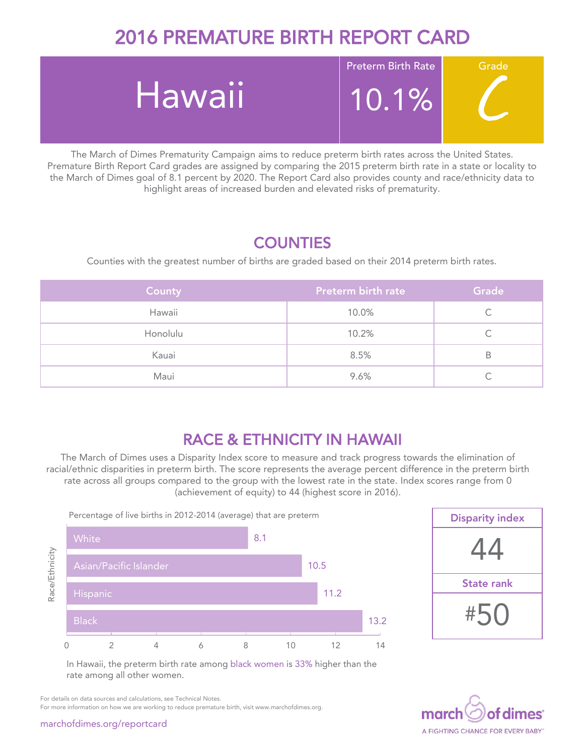# 2016 PREMATURE BIRTH REPORT CARD



The March of Dimes Prematurity Campaign aims to reduce preterm birth rates across the United States. Premature Birth Report Card grades are assigned by comparing the 2015 preterm birth rate in a state or locality to the March of Dimes goal of 8.1 percent by 2020. The Report Card also provides county and race/ethnicity data to highlight areas of increased burden and elevated risks of prematurity.

### **COUNTIES**

Counties with the greatest number of births are graded based on their 2014 preterm birth rates.

| County   | Preterm birth rate | Grade |
|----------|--------------------|-------|
| Hawaii   | 10.0%              |       |
| Honolulu | 10.2%              |       |
| Kauai    | 8.5%               | В     |
| Maui     | 9.6%               |       |

## RACE & ETHNICITY IN HAWAII

The March of Dimes uses a Disparity Index score to measure and track progress towards the elimination of racial/ethnic disparities in preterm birth. The score represents the average percent difference in the preterm birth rate across all groups compared to the group with the lowest rate in the state. Index scores range from 0 (achievement of equity) to 44 (highest score in 2016).





In Hawaii, the preterm birth rate among black women is 33% higher than the rate among all other women.



For details on data sources and calculations, see Technical Notes.

For more information on how we are working to reduce premature birth, visit www.marchofdimes.org.